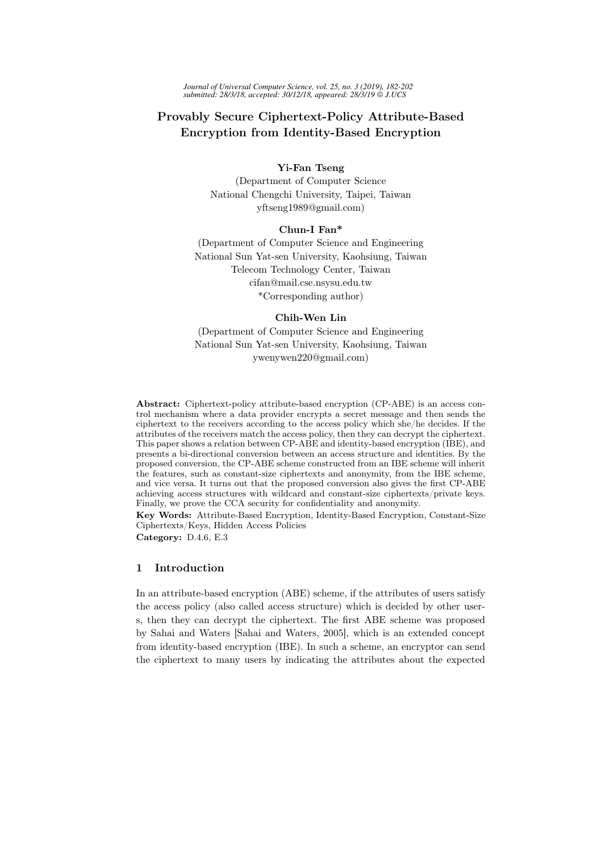*Journal of Universal Computer Science, vol. 25, no. 3 (2019), 182-202 submitted: 28/3/18, accepted: 30/12/18, appeared: 28/3/19 J.UCS*

# Provably Secure Ciphertext-Policy Attribute-Based Encryption from Identity-Based Encryption

# Yi-Fan Tseng

(Department of Computer Science National Chengchi University, Taipei, Taiwan yftseng1989@gmail.com)

# Chun-I Fan\*

(Department of Computer Science and Engineering National Sun Yat-sen University, Kaohsiung, Taiwan Telecom Technology Center, Taiwan cifan@mail.cse.nsysu.edu.tw \*Corresponding author)

### Chih-Wen Lin

(Department of Computer Science and Engineering National Sun Yat-sen University, Kaohsiung, Taiwan ywenywen220@gmail.com)

Abstract: Ciphertext-policy attribute-based encryption (CP-ABE) is an access control mechanism where a data provider encrypts a secret message and then sends the ciphertext to the receivers according to the access policy which she/he decides. If the attributes of the receivers match the access policy, then they can decrypt the ciphertext. This paper shows a relation between CP-ABE and identity-based encryption (IBE), and presents a bi-directional conversion between an access structure and identities. By the proposed conversion, the CP-ABE scheme constructed from an IBE scheme will inherit the features, such as constant-size ciphertexts and anonymity, from the IBE scheme, and vice versa. It turns out that the proposed conversion also gives the first CP-ABE achieving access structures with wildcard and constant-size ciphertexts/private keys. Finally, we prove the CCA security for confidentiality and anonymity.

Key Words: Attribute-Based Encryption, Identity-Based Encryption, Constant-Size Ciphertexts/Keys, Hidden Access Policies

Category: D.4.6, E.3

### 1 Introduction

In an attribute-based encryption (ABE) scheme, if the attributes of users satisfy the access policy (also called access structure) which is decided by other users, then they can decrypt the ciphertext. The first ABE scheme was proposed by Sahai and Waters [Sahai and Waters, 2005], which is an extended concept from identity-based encryption (IBE). In such a scheme, an encryptor can send the ciphertext to many users by indicating the attributes about the expected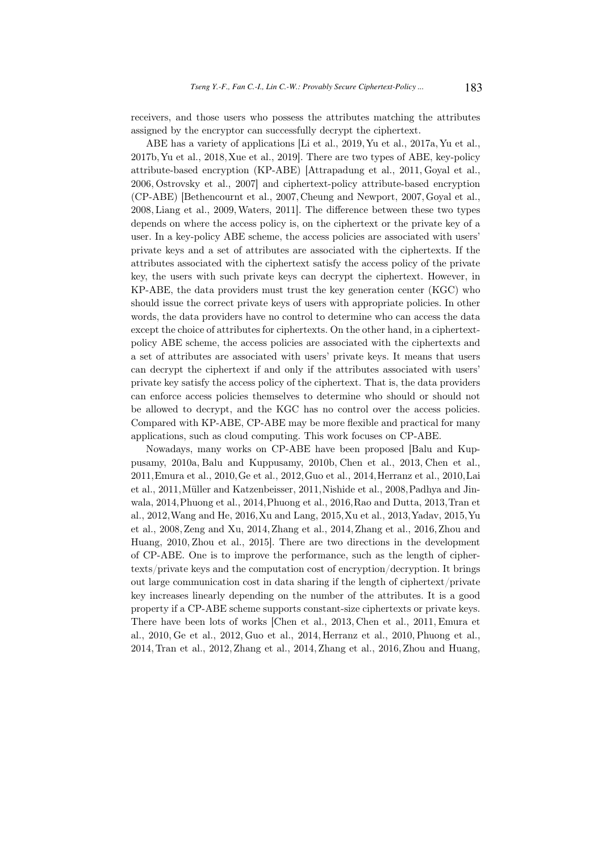receivers, and those users who possess the attributes matching the attributes assigned by the encryptor can successfully decrypt the ciphertext.

ABE has a variety of applications [Li et al., 2019, Yu et al., 2017a, Yu et al., 2017b,Yu et al., 2018,Xue et al., 2019]. There are two types of ABE, key-policy attribute-based encryption (KP-ABE) [Attrapadung et al., 2011, Goyal et al., 2006, Ostrovsky et al., 2007] and ciphertext-policy attribute-based encryption (CP-ABE) [Bethencournt et al., 2007, Cheung and Newport, 2007,Goyal et al., 2008, Liang et al., 2009,Waters, 2011]. The difference between these two types depends on where the access policy is, on the ciphertext or the private key of a user. In a key-policy ABE scheme, the access policies are associated with users' private keys and a set of attributes are associated with the ciphertexts. If the attributes associated with the ciphertext satisfy the access policy of the private key, the users with such private keys can decrypt the ciphertext. However, in KP-ABE, the data providers must trust the key generation center (KGC) who should issue the correct private keys of users with appropriate policies. In other words, the data providers have no control to determine who can access the data except the choice of attributes for ciphertexts. On the other hand, in a ciphertextpolicy ABE scheme, the access policies are associated with the ciphertexts and a set of attributes are associated with users' private keys. It means that users can decrypt the ciphertext if and only if the attributes associated with users' private key satisfy the access policy of the ciphertext. That is, the data providers can enforce access policies themselves to determine who should or should not be allowed to decrypt, and the KGC has no control over the access policies. Compared with KP-ABE, CP-ABE may be more flexible and practical for many applications, such as cloud computing. This work focuses on CP-ABE.

Nowadays, many works on CP-ABE have been proposed [Balu and Kuppusamy, 2010a, Balu and Kuppusamy, 2010b, Chen et al., 2013, Chen et al., 2011,Emura et al., 2010,Ge et al., 2012,Guo et al., 2014,Herranz et al., 2010,Lai et al., 2011,Müller and Katzenbeisser, 2011,Nishide et al., 2008,Padhya and Jinwala, 2014,Phuong et al., 2014,Phuong et al., 2016,Rao and Dutta, 2013,Tran et al., 2012,Wang and He, 2016,Xu and Lang, 2015,Xu et al., 2013,Yadav, 2015,Yu et al., 2008, Zeng and Xu, 2014, Zhang et al., 2014, Zhang et al., 2016, Zhou and Huang, 2010, Zhou et al., 2015]. There are two directions in the development of CP-ABE. One is to improve the performance, such as the length of ciphertexts/private keys and the computation cost of encryption/decryption. It brings out large communication cost in data sharing if the length of ciphertext/private key increases linearly depending on the number of the attributes. It is a good property if a CP-ABE scheme supports constant-size ciphertexts or private keys. There have been lots of works [Chen et al., 2013, Chen et al., 2011, Emura et al., 2010, Ge et al., 2012, Guo et al., 2014, Herranz et al., 2010, Phuong et al., 2014, Tran et al., 2012, Zhang et al., 2014, Zhang et al., 2016, Zhou and Huang,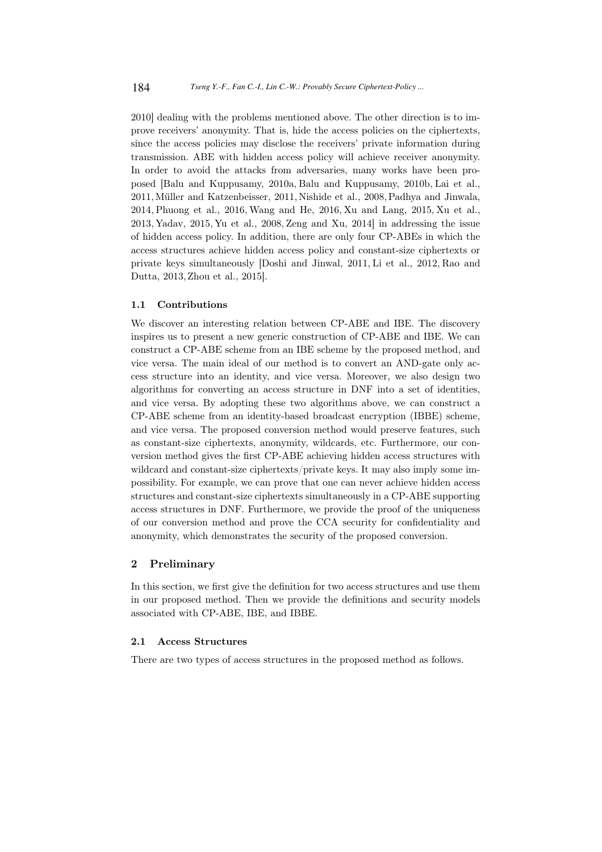2010] dealing with the problems mentioned above. The other direction is to improve receivers' anonymity. That is, hide the access policies on the ciphertexts, since the access policies may disclose the receivers' private information during transmission. ABE with hidden access policy will achieve receiver anonymity. In order to avoid the attacks from adversaries, many works have been proposed [Balu and Kuppusamy, 2010a, Balu and Kuppusamy, 2010b, Lai et al., 2011,Müller and Katzenbeisser, 2011, Nishide et al., 2008,Padhya and Jinwala, 2014, Phuong et al., 2016, Wang and He, 2016, Xu and Lang, 2015, Xu et al., 2013, Yadav, 2015, Yu et al., 2008, Zeng and Xu, 2014] in addressing the issue of hidden access policy. In addition, there are only four CP-ABEs in which the access structures achieve hidden access policy and constant-size ciphertexts or private keys simultaneously [Doshi and Jinwal, 2011, Li et al., 2012, Rao and Dutta, 2013, Zhou et al., 2015].

### 1.1 Contributions

We discover an interesting relation between CP-ABE and IBE. The discovery inspires us to present a new generic construction of CP-ABE and IBE. We can construct a CP-ABE scheme from an IBE scheme by the proposed method, and vice versa. The main ideal of our method is to convert an AND-gate only access structure into an identity, and vice versa. Moreover, we also design two algorithms for converting an access structure in DNF into a set of identities, and vice versa. By adopting these two algorithms above, we can construct a CP-ABE scheme from an identity-based broadcast encryption (IBBE) scheme, and vice versa. The proposed conversion method would preserve features, such as constant-size ciphertexts, anonymity, wildcards, etc. Furthermore, our conversion method gives the first CP-ABE achieving hidden access structures with wildcard and constant-size ciphertexts/private keys. It may also imply some impossibility. For example, we can prove that one can never achieve hidden access structures and constant-size ciphertexts simultaneously in a CP-ABE supporting access structures in DNF. Furthermore, we provide the proof of the uniqueness of our conversion method and prove the CCA security for confidentiality and anonymity, which demonstrates the security of the proposed conversion.

### 2 Preliminary

In this section, we first give the definition for two access structures and use them in our proposed method. Then we provide the definitions and security models associated with CP-ABE, IBE, and IBBE.

#### 2.1 Access Structures

There are two types of access structures in the proposed method as follows.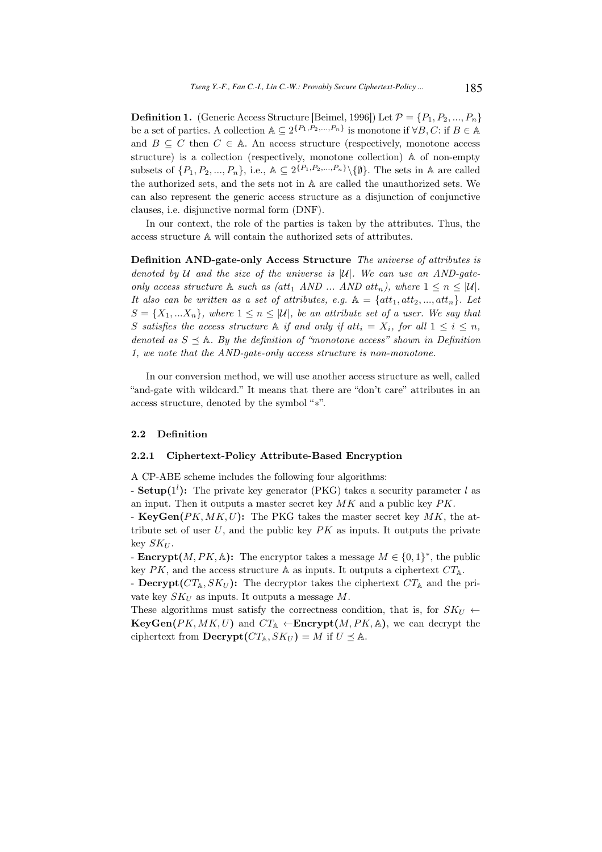**Definition 1.** (Generic Access Structure [Beimel, 1996]) Let  $\mathcal{P} = \{P_1, P_2, ..., P_n\}$ be a set of parties. A collection  $\mathbb{A} \subseteq 2^{\{P_1, P_2, ..., P_n\}}$  is monotone if  $\forall B, C$ : if  $B \in \mathbb{A}$ and  $B \subseteq C$  then  $C \in A$ . An access structure (respectively, monotone access structure) is a collection (respectively, monotone collection) A of non-empty subsets of  $\{P_1, P_2, ..., P_n\}$ , i.e.,  $\mathbb{A} \subseteq 2^{\{P_1, P_2, ..., P_n\}} \setminus \{\emptyset\}$ . The sets in A are called the authorized sets, and the sets not in A are called the unauthorized sets. We can also represent the generic access structure as a disjunction of conjunctive clauses, i.e. disjunctive normal form (DNF).

In our context, the role of the parties is taken by the attributes. Thus, the access structure A will contain the authorized sets of attributes.

Definition AND-gate-only Access Structure The universe of attributes is denoted by  $U$  and the size of the universe is  $|U|$ . We can use an AND-gateonly access structure A such as  $(\text{att}_1 \text{ AND ... AND} \text{ att}_n), \text{ where } 1 \leq n \leq |\mathcal{U}|.$ It also can be written as a set of attributes, e.g.  $\mathbb{A} = \{att_1, att_2, ..., att_n\}$ . Let  $S = \{X_1, \ldots X_n\}$ , where  $1 \leq n \leq |\mathcal{U}|$ , be an attribute set of a user. We say that S satisfies the access structure A if and only if att<sub>i</sub> =  $X_i$ , for all  $1 \leq i \leq n$ , denoted as  $S \prec A$ . By the definition of "monotone access" shown in Definition 1, we note that the AND-gate-only access structure is non-monotone.

In our conversion method, we will use another access structure as well, called "and-gate with wildcard." It means that there are "don't care" attributes in an access structure, denoted by the symbol "∗".

#### 2.2 Definition

#### 2.2.1 Ciphertext-Policy Attribute-Based Encryption

A CP-ABE scheme includes the following four algorithms:

- Setup( $1^l$ ): The private key generator (PKG) takes a security parameter l as an input. Then it outputs a master secret key  $MK$  and a public key  $PK$ .

- KeyGen( $PK, MK, U$ ): The PKG takes the master secret key  $MK$ , the attribute set of user  $U$ , and the public key  $PK$  as inputs. It outputs the private key  $SK_U$ .

**Encrypt** $(M, PK, \mathbb{A})$ : The encryptor takes a message  $M \in \{0, 1\}^*$ , the public key PK, and the access structure A as inputs. It outputs a ciphertext  $CT_A$ .

- Decrypt( $CT_{\mathbb{A}}$ ,  $SK_U$ ): The decryptor takes the ciphertext  $CT_{\mathbb{A}}$  and the private key  $SK_U$  as inputs. It outputs a message M.

These algorithms must satisfy the correctness condition, that is, for  $SK_U \leftarrow$  $KeyGen(PK, MK, U)$  and  $CT_{\mathbb{A}} \leftarrow$ Encrypt $(M, PK, \mathbb{A})$ , we can decrypt the ciphertext from  $\textbf{Decrypt}(CT_{\mathbb{A}}, SK_U) = M$  if  $U \preceq \mathbb{A}$ .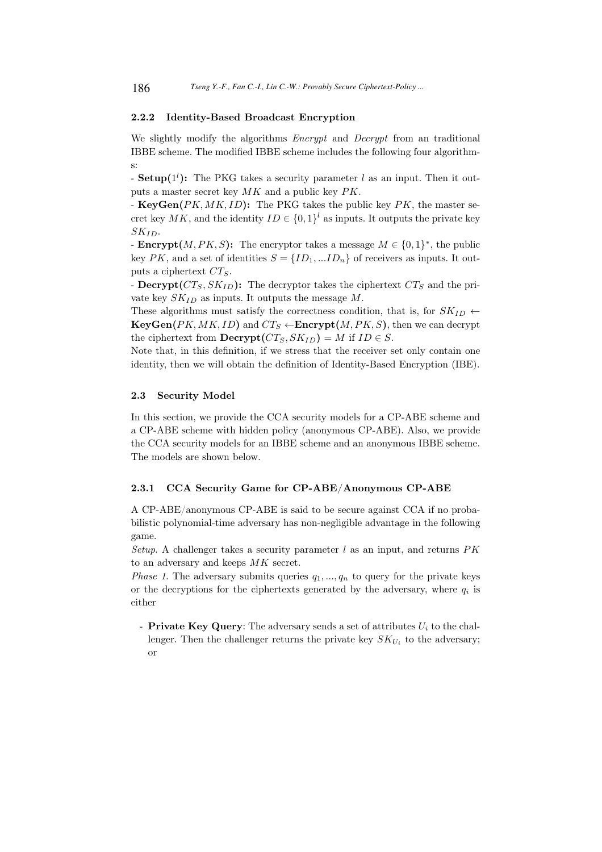### 2.2.2 Identity-Based Broadcast Encryption

We slightly modify the algorithms *Encrypt* and *Decrypt* from an traditional IBBE scheme. The modified IBBE scheme includes the following four algorithms:

- Setup( $1^l$ ): The PKG takes a security parameter l as an input. Then it outputs a master secret key MK and a public key PK.

- KeyGen( $PK, MK, ID$ ): The PKG takes the public key  $PK$ , the master secret key  $MK$ , and the identity  $ID \in \{0,1\}^l$  as inputs. It outputs the private key  $SK_{ID}$ .

**Encrypt** $(M, PK, S)$ : The encryptor takes a message  $M \in \{0, 1\}^*$ , the public key PK, and a set of identities  $S = \{ID_1, ... ID_n\}$  of receivers as inputs. It outputs a ciphertext  $CT_S$ .

- Decrypt( $CT_S, SK_{ID}$ ): The decryptor takes the ciphertext  $CT_S$  and the private key  $SK_{ID}$  as inputs. It outputs the message M.

These algorithms must satisfy the correctness condition, that is, for  $SK_{ID}$   $\leftarrow$  $KeyGen(PK, MK, ID)$  and  $CT_S \leftarrow$ **Encrypt** $(M, PK, S)$ , then we can decrypt the ciphertext from  $\text{Decrypt}(CT_S, SK_{ID}) = M$  if  $ID \in S$ .

Note that, in this definition, if we stress that the receiver set only contain one identity, then we will obtain the definition of Identity-Based Encryption (IBE).

#### 2.3 Security Model

In this section, we provide the CCA security models for a CP-ABE scheme and a CP-ABE scheme with hidden policy (anonymous CP-ABE). Also, we provide the CCA security models for an IBBE scheme and an anonymous IBBE scheme. The models are shown below.

#### 2.3.1 CCA Security Game for CP-ABE/Anonymous CP-ABE

A CP-ABE/anonymous CP-ABE is said to be secure against CCA if no probabilistic polynomial-time adversary has non-negligible advantage in the following game.

Setup. A challenger takes a security parameter  $l$  as an input, and returns  $PK$ to an adversary and keeps MK secret.

*Phase 1.* The adversary submits queries  $q_1, ..., q_n$  to query for the private keys or the decryptions for the ciphertexts generated by the adversary, where  $q_i$  is either

- Private Key Query: The adversary sends a set of attributes  $U_i$  to the challenger. Then the challenger returns the private key  $SK_{U_i}$  to the adversary; or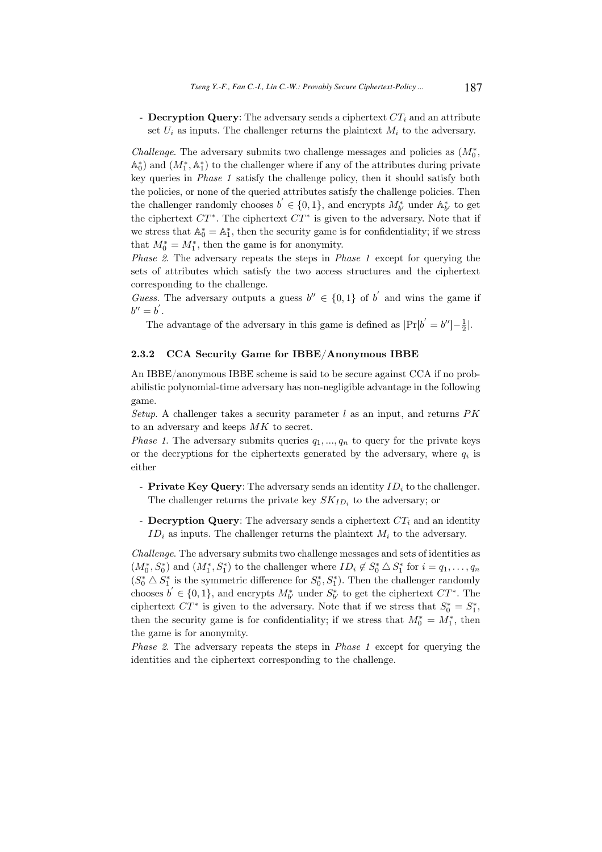- Decryption Query: The adversary sends a ciphertext  $CT_i$  and an attribute set  $U_i$  as inputs. The challenger returns the plaintext  $M_i$  to the adversary.

Challenge. The adversary submits two challenge messages and policies as  $(M_0^*$ ,  $\mathbb{A}_0^*$  and  $(M_1^*, \mathbb{A}_1^*)$  to the challenger where if any of the attributes during private key queries in Phase 1 satisfy the challenge policy, then it should satisfy both the policies, or none of the queried attributes satisfy the challenge policies. Then the challenger randomly chooses  $b' \in \{0,1\}$ , and encrypts  $M^*_{b'}$  under  $\mathbb{A}^*_{b'}$  to get the ciphertext  $CT^*$ . The ciphertext  $CT^*$  is given to the adversary. Note that if we stress that  $\mathbb{A}_0^* = \mathbb{A}_1^*$ , then the security game is for confidentiality; if we stress that  $M_0^* = M_1^*$ , then the game is for anonymity.

Phase 2. The adversary repeats the steps in Phase 1 except for querying the sets of attributes which satisfy the two access structures and the ciphertext corresponding to the challenge.

Guess. The adversary outputs a guess  $b'' \in \{0,1\}$  of b' and wins the game if  $b'' = b'$ .

The advantage of the adversary in this game is defined as  $|Pr[b' = b''] - \frac{1}{2}|$ .

#### 2.3.2 CCA Security Game for IBBE/Anonymous IBBE

An IBBE/anonymous IBBE scheme is said to be secure against CCA if no probabilistic polynomial-time adversary has non-negligible advantage in the following game.

Setup. A challenger takes a security parameter  $l$  as an input, and returns  $PK$ to an adversary and keeps MK to secret.

*Phase 1.* The adversary submits queries  $q_1, ..., q_n$  to query for the private keys or the decryptions for the ciphertexts generated by the adversary, where  $q_i$  is either

- Private Key Query: The adversary sends an identity  $ID_i$  to the challenger. The challenger returns the private key  $SK_{ID_i}$  to the adversary; or
- **Decryption Query**: The adversary sends a ciphertext  $CT_i$  and an identity  $ID_i$  as inputs. The challenger returns the plaintext  $M_i$  to the adversary.

Challenge. The adversary submits two challenge messages and sets of identities as  $(M_0^*, S_0^*)$  and  $(M_1^*, S_1^*)$  to the challenger where  $ID_i \notin S_0^* \triangle S_1^*$  for  $i = q_1, \ldots, q_n$  $(S_0^* \triangle S_1^*$  is the symmetric difference for  $S_0^*, S_1^*$ ). Then the challenger randomly chooses  $b' \in \{0,1\}$ , and encrypts  $M_{b'}^*$  under  $S_{b'}^*$  to get the ciphertext  $CT^*$ . The ciphertext  $CT^*$  is given to the adversary. Note that if we stress that  $S_0^* = S_1^*$ , then the security game is for confidentiality; if we stress that  $M_0^* = M_1^*$ , then the game is for anonymity.

Phase 2. The adversary repeats the steps in Phase 1 except for querying the identities and the ciphertext corresponding to the challenge.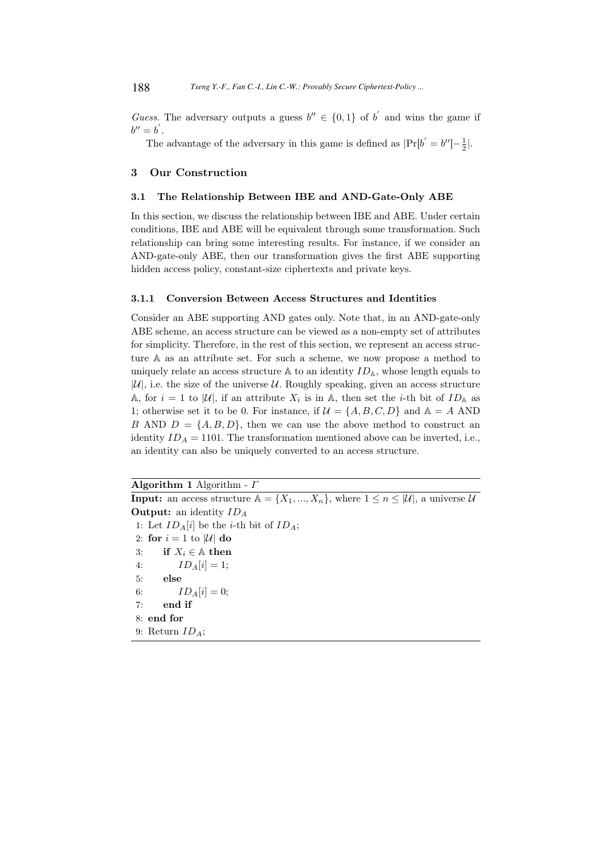Guess. The adversary outputs a guess  $b'' \in \{0,1\}$  of b' and wins the game if  $b'' = b'$ .

The advantage of the adversary in this game is defined as  $|Pr[b' = b''] - \frac{1}{2}|$ .

### 3 Our Construction

# 3.1 The Relationship Between IBE and AND-Gate-Only ABE

In this section, we discuss the relationship between IBE and ABE. Under certain conditions, IBE and ABE will be equivalent through some transformation. Such relationship can bring some interesting results. For instance, if we consider an AND-gate-only ABE, then our transformation gives the first ABE supporting hidden access policy, constant-size ciphertexts and private keys.

#### 3.1.1 Conversion Between Access Structures and Identities

Consider an ABE supporting AND gates only. Note that, in an AND-gate-only ABE scheme, an access structure can be viewed as a non-empty set of attributes for simplicity. Therefore, in the rest of this section, we represent an access structure A as an attribute set. For such a scheme, we now propose a method to uniquely relate an access structure  $\mathbb A$  to an identity  $ID_{\mathbb A}$ , whose length equals to  $|\mathcal{U}|$ , i.e. the size of the universe  $\mathcal{U}$ . Roughly speaking, given an access structure A, for  $i = 1$  to |U|, if an attribute  $X_i$  is in A, then set the *i*-th bit of  $ID_A$  as 1; otherwise set it to be 0. For instance, if  $\mathcal{U} = \{A, B, C, D\}$  and  $\mathbb{A} = A$  AND B AND  $D = \{A, B, D\}$ , then we can use the above method to construct an identity  $ID_A = 1101$ . The transformation mentioned above can be inverted, i.e., an identity can also be uniquely converted to an access structure.

Algorithm 1 Algorithm -  $\Gamma$ 

**Input:** an access structure  $A = \{X_1, ..., X_n\}$ , where  $1 \leq n \leq |\mathcal{U}|$ , a universe  $\mathcal{U}$ **Output:** an identity  $ID_A$ 1: Let  $ID_A[i]$  be the *i*-th bit of  $ID_A$ ; 2: for  $i = 1$  to |U| do 3: if  $X_i \in \mathbb{A}$  then 4:  $ID_A[i] = 1;$ 5: else 6:  $ID_A[i] = 0;$ 7: end if 8: end for 9: Return  $ID_A$ ;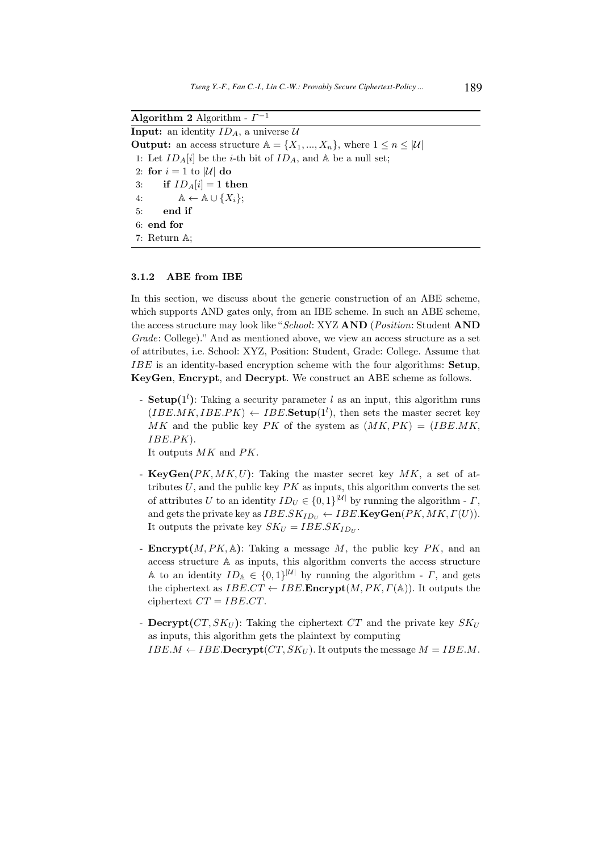Algorithm 2 Algorithm -  $\Gamma^{-1}$ 

**Input:** an identity  $ID_A$ , a universe  $U$ **Output:** an access structure  $A = \{X_1, ..., X_n\}$ , where  $1 \leq n \leq |\mathcal{U}|$ 1: Let  $ID_A[i]$  be the *i*-th bit of  $ID_A$ , and  $\mathbb A$  be a null set; 2: for  $i = 1$  to |U| do 3: if  $ID_A[i] = 1$  then 4:  $\mathbb{A} \leftarrow \mathbb{A} \cup \{X_i\};$ 5: end if 6: end for 7: Return A;

#### 3.1.2 ABE from IBE

In this section, we discuss about the generic construction of an ABE scheme, which supports AND gates only, from an IBE scheme. In such an ABE scheme, the access structure may look like "School: XYZ AND (Position: Student AND Grade: College)." And as mentioned above, we view an access structure as a set of attributes, i.e. School: XYZ, Position: Student, Grade: College. Assume that IBE is an identity-based encryption scheme with the four algorithms: Setup, KeyGen, Encrypt, and Decrypt. We construct an ABE scheme as follows.

- **Setup**( $1<sup>l</sup>$ ): Taking a security parameter l as an input, this algorithm runs  $(IBE.MK, IBE.PK) \leftarrow IBE.\mathbf{Setup}(1^l)$ , then sets the master secret key MK and the public key PK of the system as  $(MK, PK) = (IBE.MK,$ IBE.PK).

It outputs MK and PK.

- ${\bf KeyGen}(PK, MK, U)$ : Taking the master secret key MK, a set of attributes  $U$ , and the public key  $PK$  as inputs, this algorithm converts the set of attributes U to an identity  $ID_U \in \{0,1\}^{|U|}$  by running the algorithm -  $\Gamma$ , and gets the private key as  $IBE.SK_{ID_U} \leftarrow IBE \cdot \text{KeyGen}(PK, MK, \Gamma(U)).$ It outputs the private key  $SK_U = IBE.SK_{ID_U}$ .
- **Encrypt** $(M, PK, A)$ : Taking a message M, the public key PK, and an access structure A as inputs, this algorithm converts the access structure A to an identity  $ID_A \in \{0,1\}^{|U|}$  by running the algorithm -  $\Gamma$ , and gets the ciphertext as  $IBE.CT \leftarrow IBE.\mathbf{Encrypt}(M, PK, \Gamma(\mathbb{A}))$ . It outputs the ciphertext  $CT = IBE.CT$ .
- Decrypt( $CT, SK_U$ ): Taking the ciphertext  $CT$  and the private key  $SK_U$ as inputs, this algorithm gets the plaintext by computing  $IBE.M \leftarrow IBE.D\textbf{ecrypt}(CT, SK_U)$ . It outputs the message  $M = IBE.M$ .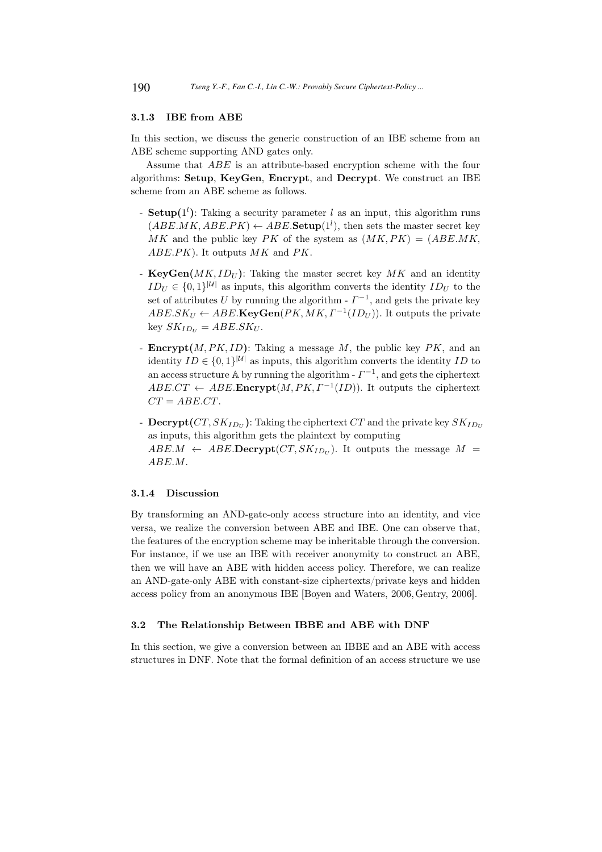### 3.1.3 IBE from ABE

In this section, we discuss the generic construction of an IBE scheme from an ABE scheme supporting AND gates only.

Assume that ABE is an attribute-based encryption scheme with the four algorithms: Setup, KeyGen, Encrypt, and Decrypt. We construct an IBE scheme from an ABE scheme as follows.

- **Setup**( $1<sup>l</sup>$ ): Taking a security parameter l as an input, this algorithm runs  $(ABE.MK, ABE.PK) \leftarrow ABE.\mathbf{Setup}(1^l)$ , then sets the master secret key MK and the public key PK of the system as  $(MK, PK) = (ABE.MK,$ ABE.PK). It outputs  $MK$  and PK.
- KeyGen $(MK, ID_U)$ : Taking the master secret key MK and an identity  $ID_U \in \{0,1\}^{|U|}$  as inputs, this algorithm converts the identity  $ID_U$  to the set of attributes U by running the algorithm -  $\Gamma^{-1}$ , and gets the private key  $ABE.SK_U \leftarrow ABE.\mathbf{KeyGen}(PK, MK, \Gamma^{-1}(ID_U)).$  It outputs the private key  $SK_{ID_U} = ABE.SK_U$ .
- **Encrypt** $(M, PK, ID)$ : Taking a message M, the public key PK, and an identity  $ID \in \{0,1\}^{|U|}$  as inputs, this algorithm converts the identity  $ID$  to an access structure A by running the algorithm  $-I^{-1}$ , and gets the ciphertext  $ABE.CT \leftarrow ABE.$ **Encrypt** $(M, PK, I^{-1}(ID))$ . It outputs the ciphertext  $CT = ABE.CT.$
- $\, {\bf D} {\bf e}{\bf c}{\bf r} {\bf y} {\bf pt} (CT, SK_{ID_U}) \: : \: {\rm Taking \ the \ ciphertext \ } CT \: {\rm and \: the \: private \: key \: SK_{ID_U}}$ as inputs, this algorithm gets the plaintext by computing  $ABE.M \leftarrow ABE.D**ecrypt**(CT, SK<sub>ID<sub>U</sub></sub>)$ . It outputs the message  $M =$ ABE.M.

### 3.1.4 Discussion

By transforming an AND-gate-only access structure into an identity, and vice versa, we realize the conversion between ABE and IBE. One can observe that, the features of the encryption scheme may be inheritable through the conversion. For instance, if we use an IBE with receiver anonymity to construct an ABE, then we will have an ABE with hidden access policy. Therefore, we can realize an AND-gate-only ABE with constant-size ciphertexts/private keys and hidden access policy from an anonymous IBE [Boyen and Waters, 2006,Gentry, 2006].

# 3.2 The Relationship Between IBBE and ABE with DNF

In this section, we give a conversion between an IBBE and an ABE with access structures in DNF. Note that the formal definition of an access structure we use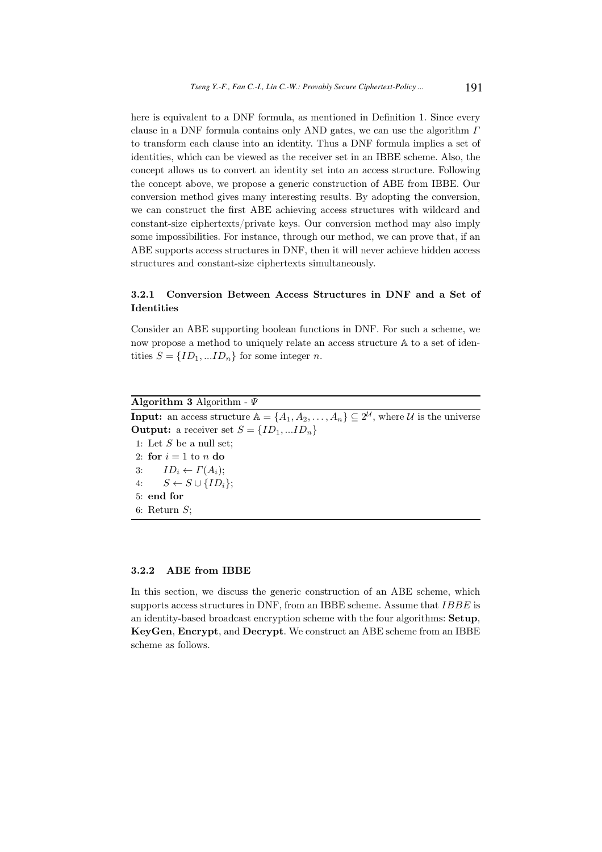here is equivalent to a DNF formula, as mentioned in Definition 1. Since every clause in a DNF formula contains only AND gates, we can use the algorithm  $\Gamma$ to transform each clause into an identity. Thus a DNF formula implies a set of identities, which can be viewed as the receiver set in an IBBE scheme. Also, the concept allows us to convert an identity set into an access structure. Following the concept above, we propose a generic construction of ABE from IBBE. Our conversion method gives many interesting results. By adopting the conversion, we can construct the first ABE achieving access structures with wildcard and constant-size ciphertexts/private keys. Our conversion method may also imply some impossibilities. For instance, through our method, we can prove that, if an ABE supports access structures in DNF, then it will never achieve hidden access structures and constant-size ciphertexts simultaneously.

# 3.2.1 Conversion Between Access Structures in DNF and a Set of Identities

Consider an ABE supporting boolean functions in DNF. For such a scheme, we now propose a method to uniquely relate an access structure A to a set of identities  $S = \{ID_1, ... ID_n\}$  for some integer *n*.

### Algorithm 3 Algorithm -  $\Psi$

**Input:** an access structure  $A = \{A_1, A_2, \ldots, A_n\} \subseteq 2^{\mathcal{U}}$ , where  $\mathcal{U}$  is the universe **Output:** a receiver set  $S = \{ID_1, ... ID_n\}$ 

1: Let  $S$  be a null set; 2: for  $i = 1$  to n do 3:  $ID_i \leftarrow \Gamma(A_i);$ 4:  $S \leftarrow S \cup \{ID_i\};$ 5: end for 6: Return  $S$ ;

#### 3.2.2 ABE from IBBE

In this section, we discuss the generic construction of an ABE scheme, which supports access structures in DNF, from an IBBE scheme. Assume that  $IBBE$  is an identity-based broadcast encryption scheme with the four algorithms: Setup, KeyGen, Encrypt, and Decrypt. We construct an ABE scheme from an IBBE scheme as follows.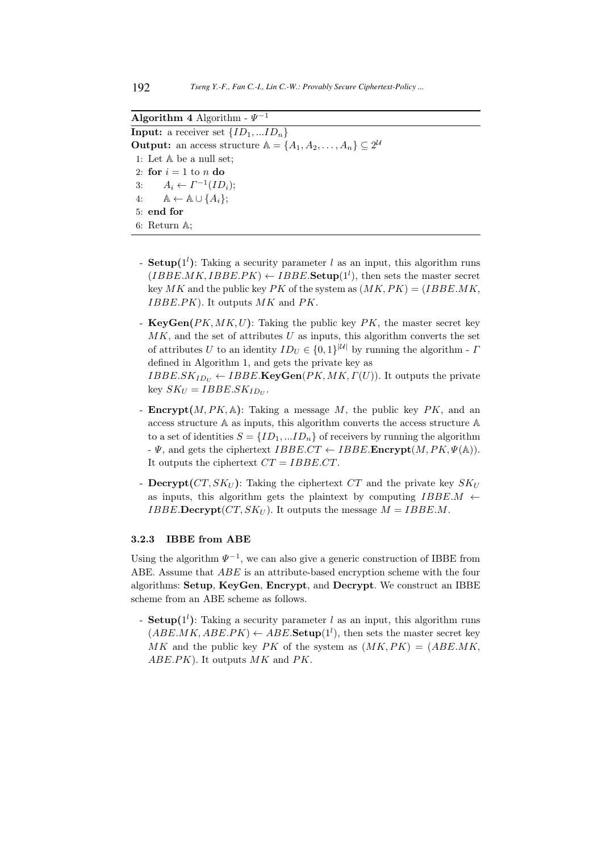Algorithm 4 Algorithm -  $\Psi^{-1}$ **Input:** a receiver set  $\{ID_1, ... ID_n\}$ **Output:** an access structure  $A = \{A_1, A_2, \ldots, A_n\} \subseteq 2^{\mathcal{U}}$ 1: Let A be a null set; 2: for  $i = 1$  to n do 3:  $A_i \leftarrow \Gamma^{-1}(ID_i);$ 4:  $\mathbb{A} \leftarrow \mathbb{A} \cup \{A_i\};$ 5: end for 6: Return A;

- **Setup**( $1<sup>l</sup>$ ): Taking a security parameter l as an input, this algorithm runs  $(IBBE.MK, IBBE.PK) \leftarrow IBBE.\mathbf{Setup}(1^l)$ , then sets the master secret key MK and the public key PK of the system as  $(MK, PK) = (IBBE.MK,$  $IBBE.PK$ ). It outputs  $MK$  and  $PK$ .
- $KeyGen(PK, MK, U)$ : Taking the public key  $PK$ , the master secret key  $MK$ , and the set of attributes U as inputs, this algorithm converts the set of attributes U to an identity  $ID_U \in \{0,1\}^{|U|}$  by running the algorithm -  $\Gamma$ defined in Algorithm 1, and gets the private key as  $IBBE.SK_{ID_U} \leftarrow IBBE.\textbf{KeyGen}(PK, MK, \Gamma(U)).$  It outputs the private key  $SK_U = IBBE.SK_{ID_U}$ .
- **Encrypt** $(M, PK, A)$ : Taking a message M, the public key PK, and an access structure A as inputs, this algorithm converts the access structure A to a set of identities  $S = \{ID_1, \ldots ID_n\}$  of receivers by running the algorithm  $\cdot \Psi$ , and gets the ciphertext  $IBBE.CT \leftarrow IBBE$ . Encrypt $(M, PK, \Psi(\mathbb{A})).$ It outputs the ciphertext  $CT = IBBE.CT$ .
- Decrypt( $CT, SK_U$ ): Taking the ciphertext  $CT$  and the private key  $SK_U$ as inputs, this algorithm gets the plaintext by computing  $IBBE.M \leftarrow$ *IBBE*.Decrypt( $CT, SK_U$ ). It outputs the message  $M = IBBE.M$ .

### 3.2.3 IBBE from ABE

Using the algorithm  $\Psi^{-1}$ , we can also give a generic construction of IBBE from ABE. Assume that ABE is an attribute-based encryption scheme with the four algorithms: Setup, KeyGen, Encrypt, and Decrypt. We construct an IBBE scheme from an ABE scheme as follows.

- **Setup**( $1<sup>l</sup>$ ): Taking a security parameter l as an input, this algorithm runs  $(ABE.MK, ABE.PK) \leftarrow ABE.\mathbf{Setup}(1^l)$ , then sets the master secret key MK and the public key PK of the system as  $(MK, PK) = (ABE.MK,$ ABE.PK). It outputs MK and PK.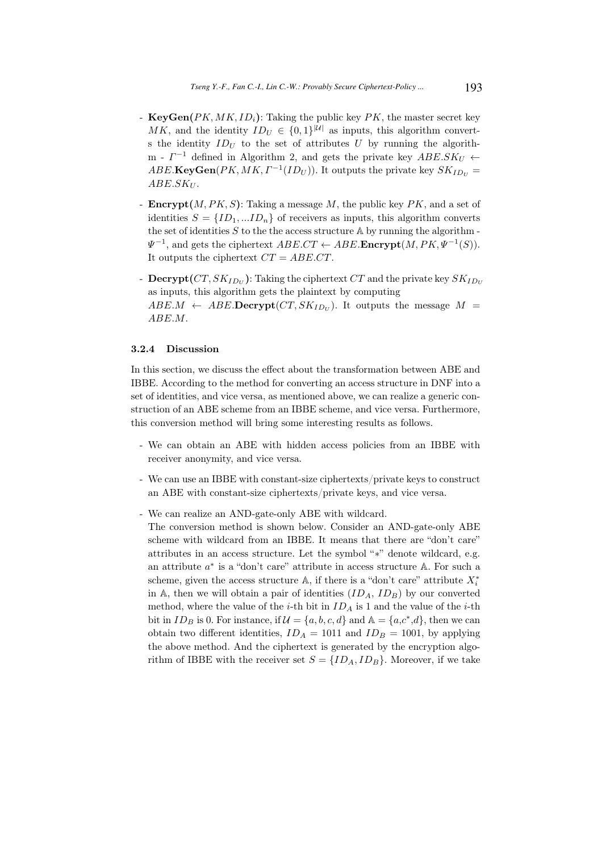- KeyGen $(PK, MK, ID<sub>i</sub>)$ : Taking the public key  $PK$ , the master secret key MK, and the identity  $ID_U \in \{0,1\}^{|U|}$  as inputs, this algorithm converts the identity  $ID_U$  to the set of attributes U by running the algorithm -  $\Gamma^{-1}$  defined in Algorithm 2, and gets the private key  $ABE.SK_U \leftarrow$  $ABE.\mathbf{KeyGen}(PK, MK, \Gamma^{-1}(ID_U)).$  It outputs the private key  $SK_{ID_U} =$  $ABE.SK_U$ .
- **Encrypt** $(M, PK, S)$ : Taking a message M, the public key PK, and a set of identities  $S = \{ID_1, ... ID_n\}$  of receivers as inputs, this algorithm converts the set of identities  $S$  to the the access structure  $A$  by running the algorithm - $\Psi^{-1}$ , and gets the ciphertext  $ABE.CT \leftarrow ABE$ . **Encrypt** $(M, PK, \Psi^{-1}(S))$ . It outputs the ciphertext  $CT = ABE.CT$ .
- $\, {\bf D} {\bf e}{\bf c}{\bf r} {\bf y}{\bf pt} (CT, SK_{ID_U})\!\!: {\rm Taking\, the\, ciphertext}\, CT$  and the private key  $SK_{ID_U}$ as inputs, this algorithm gets the plaintext by computing  $ABE.M \leftarrow ABE.D**ecrypt**(CT, SK<sub>ID<sub>U</sub></sub>)$ . It outputs the message  $M =$ ABE.M.

### 3.2.4 Discussion

In this section, we discuss the effect about the transformation between ABE and IBBE. According to the method for converting an access structure in DNF into a set of identities, and vice versa, as mentioned above, we can realize a generic construction of an ABE scheme from an IBBE scheme, and vice versa. Furthermore, this conversion method will bring some interesting results as follows.

- We can obtain an ABE with hidden access policies from an IBBE with receiver anonymity, and vice versa.
- We can use an IBBE with constant-size ciphertexts/private keys to construct an ABE with constant-size ciphertexts/private keys, and vice versa.
- We can realize an AND-gate-only ABE with wildcard.
- The conversion method is shown below. Consider an AND-gate-only ABE scheme with wildcard from an IBBE. It means that there are "don't care" attributes in an access structure. Let the symbol "∗" denote wildcard, e.g. an attribute  $a^*$  is a "don't care" attribute in access structure A. For such a scheme, given the access structure A, if there is a "don't care" attribute  $X_i^*$ in A, then we will obtain a pair of identities  $(ID_A, ID_B)$  by our converted method, where the value of the *i*-th bit in  $ID_A$  is 1 and the value of the *i*-th bit in  $ID_B$  is 0. For instance, if  $\mathcal{U} = \{a, b, c, d\}$  and  $\mathbb{A} = \{a, c^*, d\}$ , then we can obtain two different identities,  $ID_A = 1011$  and  $ID_B = 1001$ , by applying the above method. And the ciphertext is generated by the encryption algorithm of IBBE with the receiver set  $S = \{ID_A, ID_B\}$ . Moreover, if we take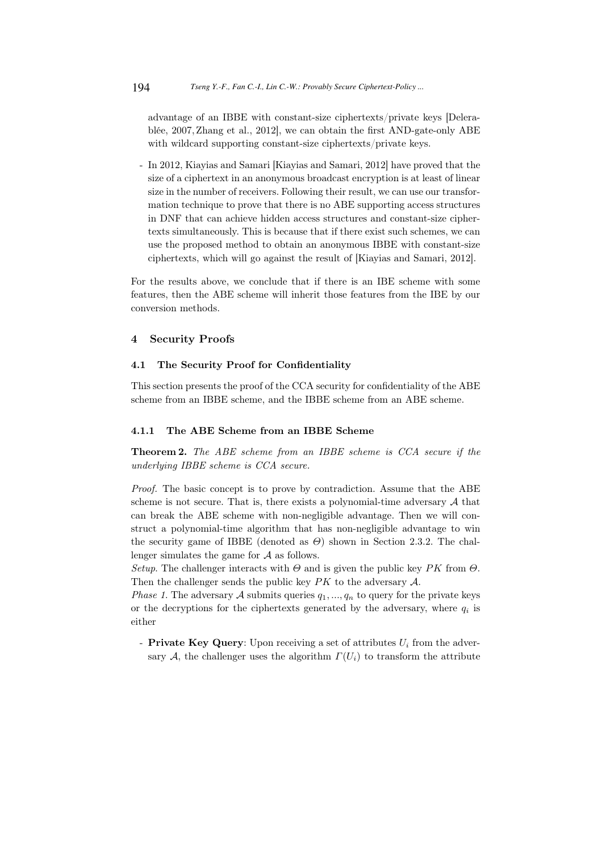advantage of an IBBE with constant-size ciphertexts/private keys [Delerablée, 2007, Zhang et al., 2012], we can obtain the first AND-gate-only ABE with wildcard supporting constant-size ciphertexts/private keys.

- In 2012, Kiayias and Samari [Kiayias and Samari, 2012] have proved that the size of a ciphertext in an anonymous broadcast encryption is at least of linear size in the number of receivers. Following their result, we can use our transformation technique to prove that there is no ABE supporting access structures in DNF that can achieve hidden access structures and constant-size ciphertexts simultaneously. This is because that if there exist such schemes, we can use the proposed method to obtain an anonymous IBBE with constant-size ciphertexts, which will go against the result of [Kiayias and Samari, 2012].

For the results above, we conclude that if there is an IBE scheme with some features, then the ABE scheme will inherit those features from the IBE by our conversion methods.

### 4 Security Proofs

### 4.1 The Security Proof for Confidentiality

This section presents the proof of the CCA security for confidentiality of the ABE scheme from an IBBE scheme, and the IBBE scheme from an ABE scheme.

#### 4.1.1 The ABE Scheme from an IBBE Scheme

Theorem 2. The ABE scheme from an IBBE scheme is CCA secure if the underlying IBBE scheme is CCA secure.

Proof. The basic concept is to prove by contradiction. Assume that the ABE scheme is not secure. That is, there exists a polynomial-time adversary  $A$  that can break the ABE scheme with non-negligible advantage. Then we will construct a polynomial-time algorithm that has non-negligible advantage to win the security game of IBBE (denoted as  $\Theta$ ) shown in Section 2.3.2. The challenger simulates the game for A as follows.

Setup. The challenger interacts with  $\Theta$  and is given the public key PK from  $\Theta$ . Then the challenger sends the public key  $PK$  to the adversary  $A$ .

*Phase 1.* The adversary A submits queries  $q_1, ..., q_n$  to query for the private keys or the decryptions for the ciphertexts generated by the adversary, where  $q_i$  is either

- Private Key Query: Upon receiving a set of attributes  $U_i$  from the adversary A, the challenger uses the algorithm  $\Gamma(U_i)$  to transform the attribute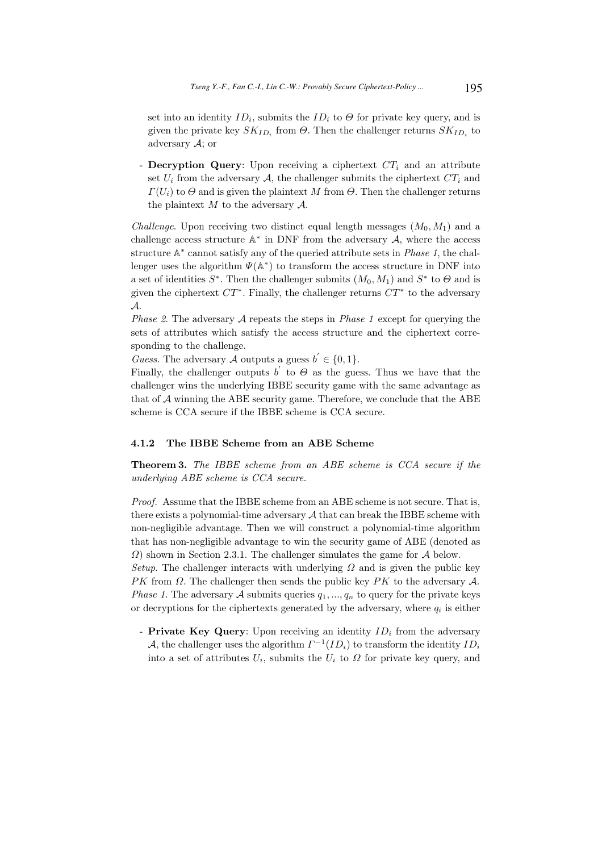set into an identity  $ID_i$ , submits the  $ID_i$  to  $\Theta$  for private key query, and is given the private key  $SK_{ID_i}$  from  $\Theta$ . Then the challenger returns  $SK_{ID_i}$  to adversary  $A$ ; or

- Decryption Query: Upon receiving a ciphertext  $CT_i$  and an attribute set  $U_i$  from the adversary A, the challenger submits the ciphertext  $CT_i$  and  $\Gamma(U_i)$  to  $\Theta$  and is given the plaintext M from  $\Theta$ . Then the challenger returns the plaintext  $M$  to the adversary  $\mathcal{A}$ .

*Challenge.* Upon receiving two distinct equal length messages  $(M_0, M_1)$  and a challenge access structure  $\mathbb{A}^*$  in DNF from the adversary  $A$ , where the access structure  $\mathbb{A}^*$  cannot satisfy any of the queried attribute sets in *Phase 1*, the challenger uses the algorithm  $\Psi(\mathbb{A}^*)$  to transform the access structure in DNF into a set of identities  $S^*$ . Then the challenger submits  $(M_0, M_1)$  and  $S^*$  to  $\Theta$  and is given the ciphertext  $CT^*$ . Finally, the challenger returns  $CT^*$  to the adversary A.

*Phase 2.* The adversary  $A$  repeats the steps in *Phase 1* except for querying the sets of attributes which satisfy the access structure and the ciphertext corresponding to the challenge.

Guess. The adversary  $\tilde{\mathcal{A}}$  outputs a guess  $b' \in \{0, 1\}.$ 

Finally, the challenger outputs  $b'$  to  $\Theta$  as the guess. Thus we have that the challenger wins the underlying IBBE security game with the same advantage as that of  $A$  winning the ABE security game. Therefore, we conclude that the ABE scheme is CCA secure if the IBBE scheme is CCA secure.

### 4.1.2 The IBBE Scheme from an ABE Scheme

Theorem 3. The IBBE scheme from an ABE scheme is CCA secure if the underlying ABE scheme is CCA secure.

Proof. Assume that the IBBE scheme from an ABE scheme is not secure. That is, there exists a polynomial-time adversary  $A$  that can break the IBBE scheme with non-negligible advantage. Then we will construct a polynomial-time algorithm that has non-negligible advantage to win the security game of ABE (denoted as  $\Omega$ ) shown in Section 2.3.1. The challenger simulates the game for  $\mathcal A$  below.

Setup. The challenger interacts with underlying  $\Omega$  and is given the public key PK from  $\Omega$ . The challenger then sends the public key PK to the adversary  $\mathcal{A}$ . *Phase 1.* The adversary A submits queries  $q_1, ..., q_n$  to query for the private keys or decryptions for the ciphertexts generated by the adversary, where  $q_i$  is either

- Private Key Query: Upon receiving an identity  $ID_i$  from the adversary A, the challenger uses the algorithm  $\Gamma^{-1}(ID_i)$  to transform the identity  $ID_i$ into a set of attributes  $U_i$ , submits the  $U_i$  to  $\Omega$  for private key query, and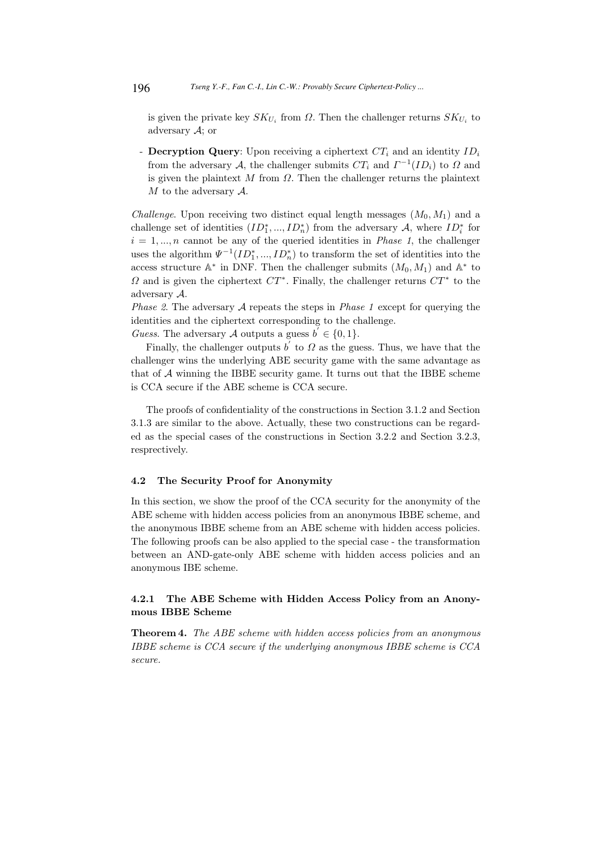is given the private key  $SK_{U_i}$  from  $\Omega$ . Then the challenger returns  $SK_{U_i}$  to adversary A; or

- **Decryption Query**: Upon receiving a ciphertext  $CT_i$  and an identity  $ID_i$ from the adversary A, the challenger submits  $CT_i$  and  $\Gamma^{-1}(ID_i)$  to  $\Omega$  and is given the plaintext  $M$  from  $\Omega$ . Then the challenger returns the plaintext  $M$  to the adversary  $\mathcal{A}$ .

Challenge. Upon receiving two distinct equal length messages  $(M_0, M_1)$  and a challenge set of identities  $(ID_1^*,...,ID_n^*)$  from the adversary  $\mathcal{A}$ , where  $ID_i^*$  for  $i = 1, \ldots, n$  cannot be any of the queried identities in *Phase 1*, the challenger uses the algorithm  $\Psi^{-1}(ID_1^*,...,ID_n^*)$  to transform the set of identities into the access structure  $\mathbb{A}^*$  in DNF. Then the challenger submits  $(M_0, M_1)$  and  $\mathbb{A}^*$  to  $\Omega$  and is given the ciphertext  $CT^*$ . Finally, the challenger returns  $CT^*$  to the adversary A.

*Phase 2.* The adversary A repeats the steps in *Phase 1* except for querying the identities and the ciphertext corresponding to the challenge.

Guess. The adversary A outputs a guess  $b^{'} \in \{0,1\}.$ 

Finally, the challenger outputs  $\overrightarrow{b}$  to  $\Omega$  as the guess. Thus, we have that the challenger wins the underlying ABE security game with the same advantage as that of  $A$  winning the IBBE security game. It turns out that the IBBE scheme is CCA secure if the ABE scheme is CCA secure.

The proofs of confidentiality of the constructions in Section 3.1.2 and Section 3.1.3 are similar to the above. Actually, these two constructions can be regarded as the special cases of the constructions in Section 3.2.2 and Section 3.2.3, resprectively.

#### 4.2 The Security Proof for Anonymity

In this section, we show the proof of the CCA security for the anonymity of the ABE scheme with hidden access policies from an anonymous IBBE scheme, and the anonymous IBBE scheme from an ABE scheme with hidden access policies. The following proofs can be also applied to the special case - the transformation between an AND-gate-only ABE scheme with hidden access policies and an anonymous IBE scheme.

# 4.2.1 The ABE Scheme with Hidden Access Policy from an Anonymous IBBE Scheme

Theorem 4. The ABE scheme with hidden access policies from an anonymous IBBE scheme is CCA secure if the underlying anonymous IBBE scheme is CCA secure.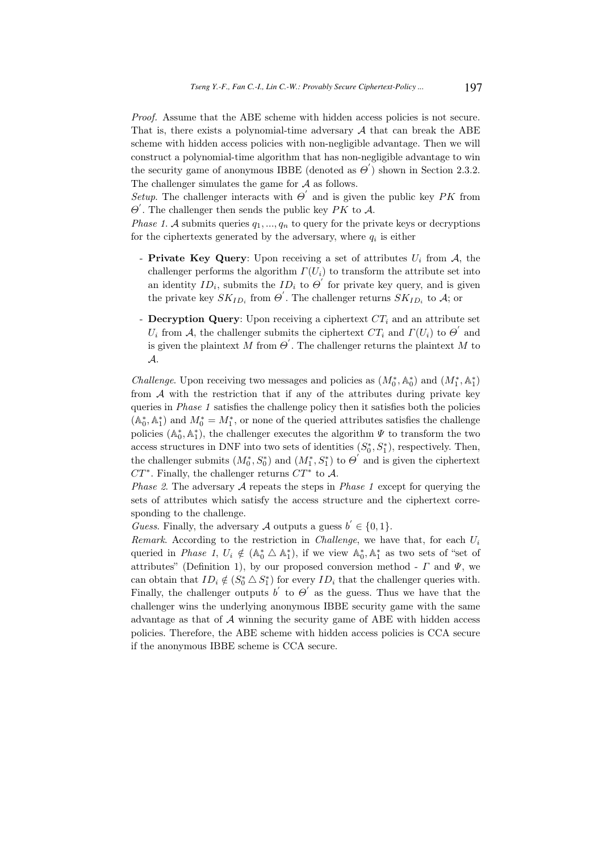Proof. Assume that the ABE scheme with hidden access policies is not secure. That is, there exists a polynomial-time adversary  $A$  that can break the ABE scheme with hidden access policies with non-negligible advantage. Then we will construct a polynomial-time algorithm that has non-negligible advantage to win the security game of anonymous IBBE (denoted as  $\Theta'$ ) shown in Section 2.3.2. The challenger simulates the game for A as follows.

Setup. The challenger interacts with  $\Theta'$  and is given the public key PK from  $\Theta'$ . The challenger then sends the public key PK to A.

*Phase 1.* A submits queries  $q_1, ..., q_n$  to query for the private keys or decryptions for the ciphertexts generated by the adversary, where  $q_i$  is either

- Private Key Query: Upon receiving a set of attributes  $U_i$  from  $A$ , the challenger performs the algorithm  $\Gamma(U_i)$  to transform the attribute set into an identity  $ID_i$ , submits the  $ID_i$  to  $\Theta'$  for private key query, and is given the private key  $SK_{ID_i}$  from  $\Theta'$ . The challenger returns  $SK_{ID_i}$  to A; or
- **Decryption Query**: Upon receiving a ciphertext  $CT_i$  and an attribute set  $U_i$  from A, the challenger submits the ciphertext  $CT_i$  and  $\Gamma(U_i)$  to  $\Theta'$  and is given the plaintext M from  $\Theta'$ . The challenger returns the plaintext M to A.

*Challenge*. Upon receiving two messages and policies as  $(M_0^*, \mathbb{A}_0^*)$  and  $(M_1^*, \mathbb{A}_1^*)$ from  $A$  with the restriction that if any of the attributes during private key queries in Phase 1 satisfies the challenge policy then it satisfies both the policies  $(A_0^*, A_1^*)$  and  $M_0^* = M_1^*$ , or none of the queried attributes satisfies the challenge policies  $(\mathbb{A}_0^*, \mathbb{A}_1^*)$ , the challenger executes the algorithm  $\Psi$  to transform the two access structures in DNF into two sets of identities  $(S_0^*, S_1^*)$ , respectively. Then, the challenger submits  $(M_0^*, S_0^*)$  and  $(M_1^*, S_1^*)$  to  $\Theta'$  and is given the ciphertext  $CT^*$ . Finally, the challenger returns  $CT^*$  to A.

*Phase 2.* The adversary  $A$  repeats the steps in *Phase 1* except for querying the sets of attributes which satisfy the access structure and the ciphertext corresponding to the challenge.

Guess. Finally, the adversary A outputs a guess  $b' \in \{0, 1\}.$ 

Remark. According to the restriction in *Challenge*, we have that, for each  $U_i$ queried in *Phase 1*,  $U_i \notin (A_0^* \triangle A_1^*)$ , if we view  $A_0^*, A_1^*$  as two sets of "set of attributes" (Definition 1), by our proposed conversion method -  $\Gamma$  and  $\Psi$ , we can obtain that  $ID_i \notin (S_0^* \triangle S_1^*)$  for every  $ID_i$  that the challenger queries with. Finally, the challenger outputs  $b'$  to  $\Theta'$  as the guess. Thus we have that the challenger wins the underlying anonymous IBBE security game with the same advantage as that of  $A$  winning the security game of ABE with hidden access policies. Therefore, the ABE scheme with hidden access policies is CCA secure if the anonymous IBBE scheme is CCA secure.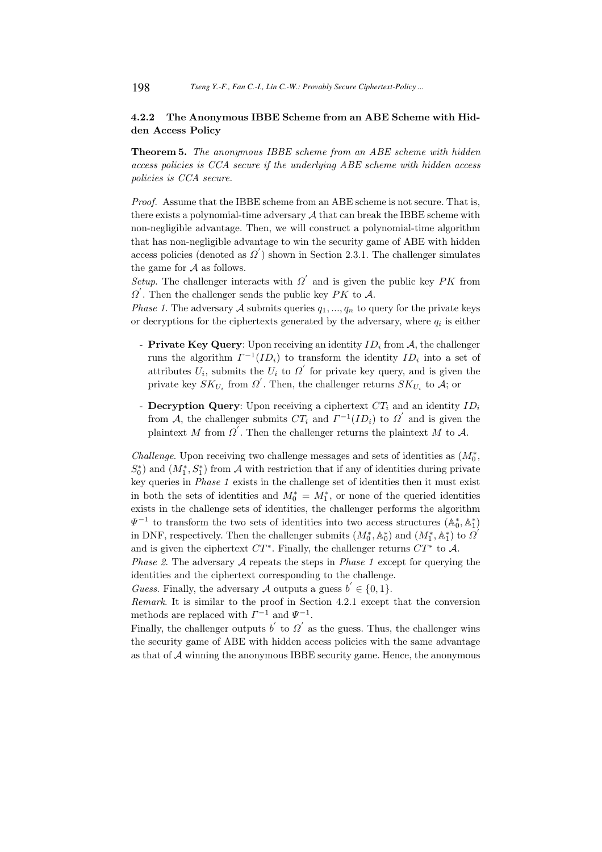# 4.2.2 The Anonymous IBBE Scheme from an ABE Scheme with Hidden Access Policy

Theorem 5. The anonymous IBBE scheme from an ABE scheme with hidden access policies is CCA secure if the underlying ABE scheme with hidden access policies is CCA secure.

Proof. Assume that the IBBE scheme from an ABE scheme is not secure. That is, there exists a polynomial-time adversary  $A$  that can break the IBBE scheme with non-negligible advantage. Then, we will construct a polynomial-time algorithm that has non-negligible advantage to win the security game of ABE with hidden access policies (denoted as  $\Omega'$ ) shown in Section 2.3.1. The challenger simulates the game for A as follows.

Setup. The challenger interacts with  $\Omega'$  and is given the public key PK from  $\Omega'$ . Then the challenger sends the public key  $\overrightarrow{PK}$  to  $\overrightarrow{A}$ .

*Phase 1.* The adversary A submits queries  $q_1, ..., q_n$  to query for the private keys or decryptions for the ciphertexts generated by the adversary, where  $q_i$  is either

- Private Key Query: Upon receiving an identity  $ID_i$  from  $A$ , the challenger runs the algorithm  $\Gamma^{-1}(ID_i)$  to transform the identity  $ID_i$  into a set of attributes  $\tilde{U}_i$ , submits the  $\tilde{U}_i$  to  $\Omega'$  for private key query, and is given the private key  $SK_{U_i}$  from  $\Omega'$ . Then, the challenger returns  $SK_{U_i}$  to  $\overline{A}$ ; or
- **Decryption Query**: Upon receiving a ciphertext  $CT_i$  and an identity  $ID_i$ from A, the challenger submits  $CT_i$  and  $T^{-1}(ID_i)$  to  $\Omega'$  and is given the plaintext M from  $\overrightarrow{Q}$ . Then the challenger returns the plaintext M to A.

Challenge. Upon receiving two challenge messages and sets of identities as  $(M_0^*$ ,  $S_0^*$ ) and  $(M_1^*, S_1^*)$  from A with restriction that if any of identities during private key queries in Phase 1 exists in the challenge set of identities then it must exist in both the sets of identities and  $M_0^* = M_1^*$ , or none of the queried identities exists in the challenge sets of identities, the challenger performs the algorithm  $\Psi^{-1}$  to transform the two sets of identities into two access structures  $(\mathbb{A}_0^*, \mathbb{A}_1^*)$ in DNF, respectively. Then the challenger submits  $(M_0^*, \mathbb{A}_0^*)$  and  $(M_1^*, \mathbb{A}_1^*)$  to  $\Omega'$ and is given the ciphertext  $CT^*$ . Finally, the challenger returns  $CT^*$  to A.

*Phase 2.* The adversary A repeats the steps in *Phase 1* except for querying the identities and the ciphertext corresponding to the challenge.

Guess. Finally, the adversary A outputs a guess  $b' \in \{0, 1\}$ .

Remark. It is similar to the proof in Section 4.2.1 except that the conversion methods are replaced with  $\Gamma^{-1}$  and  $\Psi^{-1}$ .

Finally, the challenger outputs  $b'$  to  $\Omega'$  as the guess. Thus, the challenger wins the security game of ABE with hidden access policies with the same advantage as that of  $A$  winning the anonymous IBBE security game. Hence, the anonymous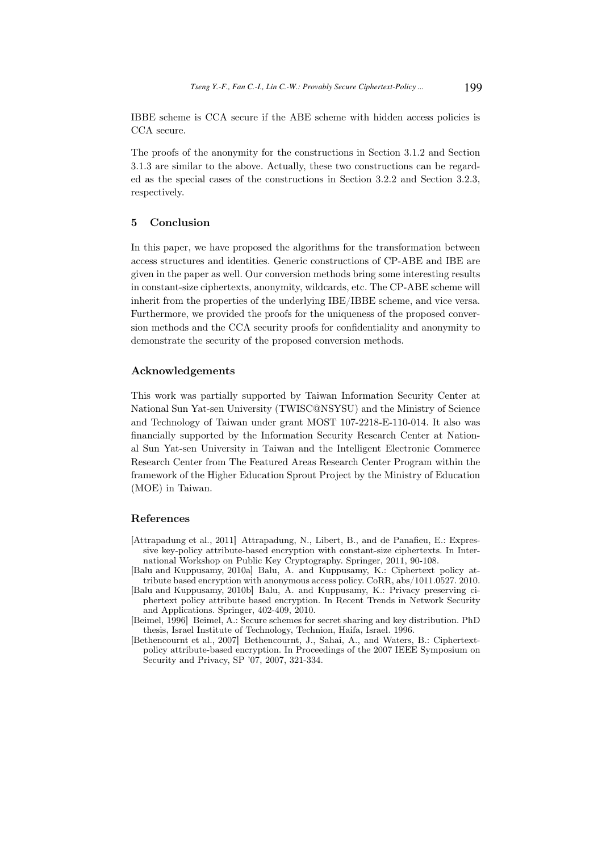IBBE scheme is CCA secure if the ABE scheme with hidden access policies is CCA secure.

The proofs of the anonymity for the constructions in Section 3.1.2 and Section 3.1.3 are similar to the above. Actually, these two constructions can be regarded as the special cases of the constructions in Section 3.2.2 and Section 3.2.3, respectively.

# 5 Conclusion

In this paper, we have proposed the algorithms for the transformation between access structures and identities. Generic constructions of CP-ABE and IBE are given in the paper as well. Our conversion methods bring some interesting results in constant-size ciphertexts, anonymity, wildcards, etc. The CP-ABE scheme will inherit from the properties of the underlying IBE/IBBE scheme, and vice versa. Furthermore, we provided the proofs for the uniqueness of the proposed conversion methods and the CCA security proofs for confidentiality and anonymity to demonstrate the security of the proposed conversion methods.

### Acknowledgements

This work was partially supported by Taiwan Information Security Center at National Sun Yat-sen University (TWISC@NSYSU) and the Ministry of Science and Technology of Taiwan under grant MOST 107-2218-E-110-014. It also was financially supported by the Information Security Research Center at National Sun Yat-sen University in Taiwan and the Intelligent Electronic Commerce Research Center from The Featured Areas Research Center Program within the framework of the Higher Education Sprout Project by the Ministry of Education (MOE) in Taiwan.

#### References

- [Attrapadung et al., 2011] Attrapadung, N., Libert, B., and de Panafieu, E.: Expressive key-policy attribute-based encryption with constant-size ciphertexts. In International Workshop on Public Key Cryptography. Springer, 2011, 90-108.
- [Balu and Kuppusamy, 2010a] Balu, A. and Kuppusamy, K.: Ciphertext policy attribute based encryption with anonymous access policy. CoRR, abs/1011.0527. 2010.
- [Balu and Kuppusamy, 2010b] Balu, A. and Kuppusamy, K.: Privacy preserving ciphertext policy attribute based encryption. In Recent Trends in Network Security and Applications. Springer, 402-409, 2010.
- [Beimel, 1996] Beimel, A.: Secure schemes for secret sharing and key distribution. PhD thesis, Israel Institute of Technology, Technion, Haifa, Israel. 1996.
- [Bethencournt et al., 2007] Bethencournt, J., Sahai, A., and Waters, B.: Ciphertextpolicy attribute-based encryption. In Proceedings of the 2007 IEEE Symposium on Security and Privacy, SP '07, 2007, 321-334.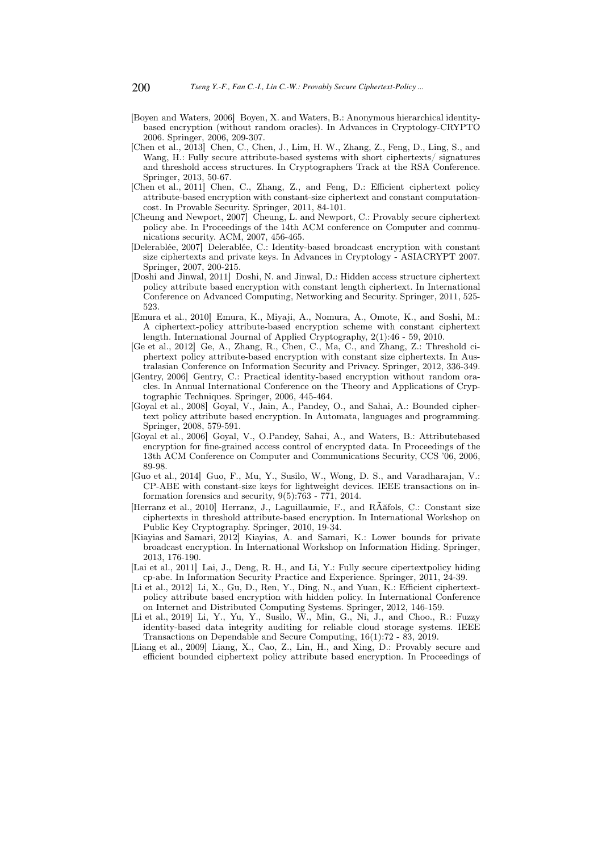- [Boyen and Waters, 2006] Boyen, X. and Waters, B.: Anonymous hierarchical identitybased encryption (without random oracles). In Advances in Cryptology-CRYPTO 2006. Springer, 2006, 209-307.
- [Chen et al., 2013] Chen, C., Chen, J., Lim, H. W., Zhang, Z., Feng, D., Ling, S., and Wang, H.: Fully secure attribute-based systems with short ciphertexts/ signatures and threshold access structures. In Cryptographers Track at the RSA Conference. Springer, 2013, 50-67.
- [Chen et al., 2011] Chen, C., Zhang, Z., and Feng, D.: Efficient ciphertext policy attribute-based encryption with constant-size ciphertext and constant computationcost. In Provable Security. Springer, 2011, 84-101.
- [Cheung and Newport, 2007] Cheung, L. and Newport, C.: Provably secure ciphertext policy abe. In Proceedings of the 14th ACM conference on Computer and communications security. ACM, 2007, 456-465.
- [Delerablée, 2007] Delerablée, C.: Identity-based broadcast encryption with constant size ciphertexts and private keys. In Advances in Cryptology - ASIACRYPT 2007. Springer, 2007, 200-215.
- [Doshi and Jinwal, 2011] Doshi, N. and Jinwal, D.: Hidden access structure ciphertext policy attribute based encryption with constant length ciphertext. In International Conference on Advanced Computing, Networking and Security. Springer, 2011, 525- 523.
- [Emura et al., 2010] Emura, K., Miyaji, A., Nomura, A., Omote, K., and Soshi, M.: A ciphertext-policy attribute-based encryption scheme with constant ciphertext length. International Journal of Applied Cryptography, 2(1):46 - 59, 2010.
- [Ge et al., 2012] Ge, A., Zhang, R., Chen, C., Ma, C., and Zhang, Z.: Threshold ciphertext policy attribute-based encryption with constant size ciphertexts. In Australasian Conference on Information Security and Privacy. Springer, 2012, 336-349.
- [Gentry, 2006] Gentry, C.: Practical identity-based encryption without random oracles. In Annual International Conference on the Theory and Applications of Cryptographic Techniques. Springer, 2006, 445-464.
- [Goyal et al., 2008] Goyal, V., Jain, A., Pandey, O., and Sahai, A.: Bounded ciphertext policy attribute based encryption. In Automata, languages and programming. Springer, 2008, 579-591.
- [Goyal et al., 2006] Goyal, V., O.Pandey, Sahai, A., and Waters, B.: Attributebased encryption for fine-grained access control of encrypted data. In Proceedings of the 13th ACM Conference on Computer and Communications Security, CCS '06, 2006, 89-98.
- [Guo et al., 2014] Guo, F., Mu, Y., Susilo, W., Wong, D. S., and Varadharajan, V.: CP-ABE with constant-size keys for lightweight devices. IEEE transactions on information forensics and security, 9(5):763 - 771, 2014.
- [Herranz et al., 2010] Herranz, J., Laguillaumie, F., and RÃăfols, C.: Constant size ciphertexts in threshold attribute-based encryption. In International Workshop on Public Key Cryptography. Springer, 2010, 19-34.
- [Kiayias and Samari, 2012] Kiayias, A. and Samari, K.: Lower bounds for private broadcast encryption. In International Workshop on Information Hiding. Springer, 2013, 176-190.
- [Lai et al., 2011] Lai, J., Deng, R. H., and Li, Y.: Fully secure cipertextpolicy hiding cp-abe. In Information Security Practice and Experience. Springer, 2011, 24-39.
- [Li et al., 2012] Li, X., Gu, D., Ren, Y., Ding, N., and Yuan, K.: Efficient ciphertextpolicy attribute based encryption with hidden policy. In International Conference on Internet and Distributed Computing Systems. Springer, 2012, 146-159.
- [Li et al., 2019] Li, Y., Yu, Y., Susilo, W., Min, G., Ni, J., and Choo., R.: Fuzzy identity-based data integrity auditing for reliable cloud storage systems. IEEE Transactions on Dependable and Secure Computing, 16(1):72 - 83, 2019.
- [Liang et al., 2009] Liang, X., Cao, Z., Lin, H., and Xing, D.: Provably secure and efficient bounded ciphertext policy attribute based encryption. In Proceedings of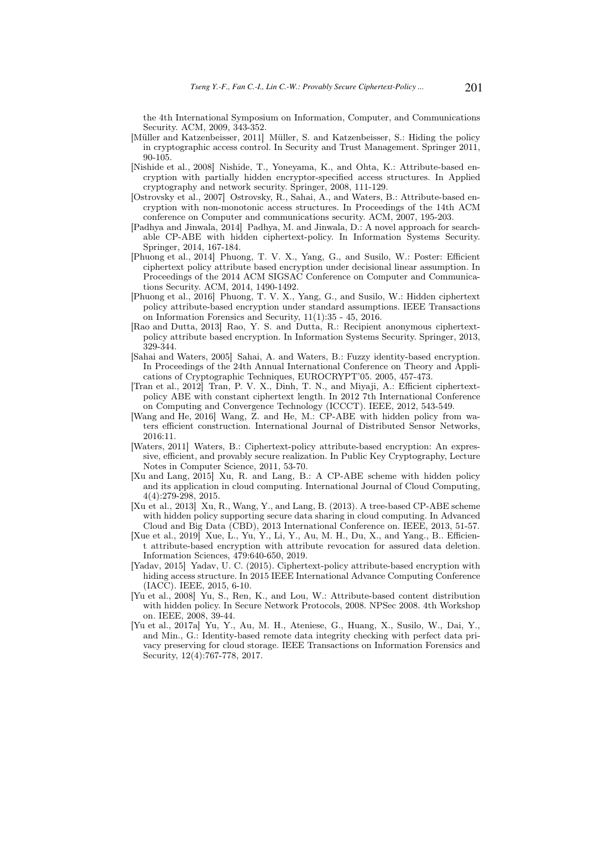the 4th International Symposium on Information, Computer, and Communications Security. ACM, 2009, 343-352.

- [Müller and Katzenbeisser, 2011] Müller, S. and Katzenbeisser, S.: Hiding the policy in cryptographic access control. In Security and Trust Management. Springer 2011, 90-105.
- [Nishide et al., 2008] Nishide, T., Yoneyama, K., and Ohta, K.: Attribute-based encryption with partially hidden encryptor-specified access structures. In Applied cryptography and network security. Springer, 2008, 111-129.
- [Ostrovsky et al., 2007] Ostrovsky, R., Sahai, A., and Waters, B.: Attribute-based encryption with non-monotonic access structures. In Proceedings of the 14th ACM conference on Computer and communications security. ACM, 2007, 195-203.
- [Padhya and Jinwala, 2014] Padhya, M. and Jinwala, D.: A novel approach for searchable CP-ABE with hidden ciphertext-policy. In Information Systems Security. Springer, 2014, 167-184.
- [Phuong et al., 2014] Phuong, T. V. X., Yang, G., and Susilo, W.: Poster: Efficient ciphertext policy attribute based encryption under decisional linear assumption. In Proceedings of the 2014 ACM SIGSAC Conference on Computer and Communications Security. ACM, 2014, 1490-1492.
- [Phuong et al., 2016] Phuong, T. V. X., Yang, G., and Susilo, W.: Hidden ciphertext policy attribute-based encryption under standard assumptions. IEEE Transactions on Information Forensics and Security, 11(1):35 - 45, 2016.
- [Rao and Dutta, 2013] Rao, Y. S. and Dutta, R.: Recipient anonymous ciphertextpolicy attribute based encryption. In Information Systems Security. Springer, 2013, 329-344.
- [Sahai and Waters, 2005] Sahai, A. and Waters, B.: Fuzzy identity-based encryption. In Proceedings of the 24th Annual International Conference on Theory and Applications of Cryptographic Techniques, EUROCRYPT'05. 2005, 457-473.
- [Tran et al., 2012] Tran, P. V. X., Dinh, T. N., and Miyaji, A.: Efficient ciphertextpolicy ABE with constant ciphertext length. In 2012 7th International Conference on Computing and Convergence Technology (ICCCT). IEEE, 2012, 543-549.
- [Wang and He, 2016] Wang, Z. and He, M.: CP-ABE with hidden policy from waters efficient construction. International Journal of Distributed Sensor Networks, 2016:11.
- [Waters, 2011] Waters, B.: Ciphertext-policy attribute-based encryption: An expressive, efficient, and provably secure realization. In Public Key Cryptography, Lecture Notes in Computer Science, 2011, 53-70.
- [Xu and Lang, 2015] Xu, R. and Lang, B.: A CP-ABE scheme with hidden policy and its application in cloud computing. International Journal of Cloud Computing, 4(4):279-298, 2015.
- [Xu et al., 2013] Xu, R., Wang, Y., and Lang, B. (2013). A tree-based CP-ABE scheme with hidden policy supporting secure data sharing in cloud computing. In Advanced Cloud and Big Data (CBD), 2013 International Conference on. IEEE, 2013, 51-57.
- [Xue et al., 2019] Xue, L., Yu, Y., Li, Y., Au, M. H., Du, X., and Yang., B.. Efficient attribute-based encryption with attribute revocation for assured data deletion. Information Sciences, 479:640-650, 2019.
- [Yadav, 2015] Yadav, U. C. (2015). Ciphertext-policy attribute-based encryption with hiding access structure. In 2015 IEEE International Advance Computing Conference (IACC). IEEE, 2015, 6-10.
- [Yu et al., 2008] Yu, S., Ren, K., and Lou, W.: Attribute-based content distribution with hidden policy. In Secure Network Protocols, 2008. NPSec 2008. 4th Workshop on. IEEE, 2008, 39-44.
- [Yu et al., 2017a] Yu, Y., Au, M. H., Ateniese, G., Huang, X., Susilo, W., Dai, Y., and Min., G.: Identity-based remote data integrity checking with perfect data privacy preserving for cloud storage. IEEE Transactions on Information Forensics and Security, 12(4):767-778, 2017.